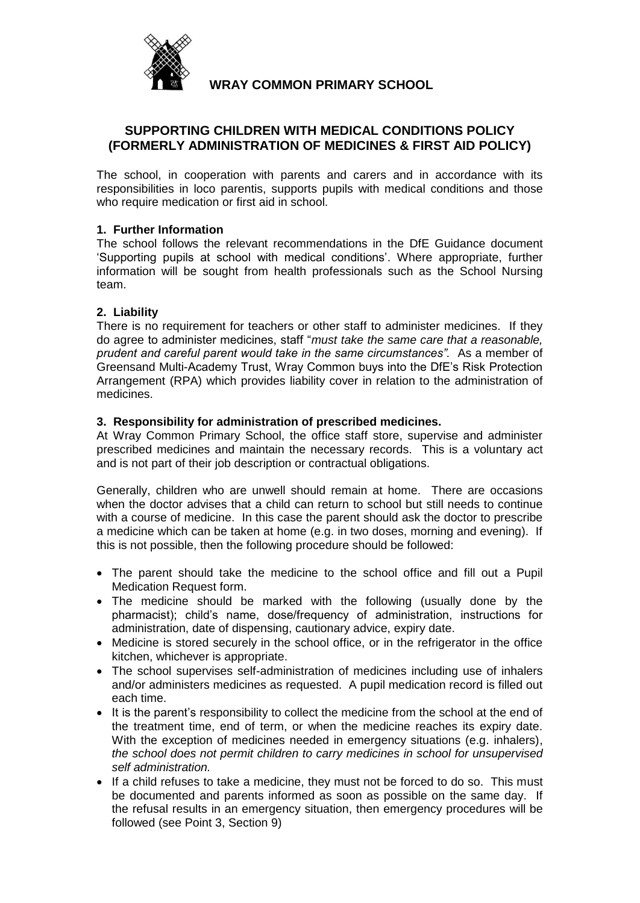

# **WRAY COMMON PRIMARY SCHOOL**

# **SUPPORTING CHILDREN WITH MEDICAL CONDITIONS POLICY (FORMERLY ADMINISTRATION OF MEDICINES & FIRST AID POLICY)**

The school, in cooperation with parents and carers and in accordance with its responsibilities in loco parentis, supports pupils with medical conditions and those who require medication or first aid in school.

## **1. Further Information**

The school follows the relevant recommendations in the DfE Guidance document 'Supporting pupils at school with medical conditions'. Where appropriate, further information will be sought from health professionals such as the School Nursing team.

### **2. Liability**

There is no requirement for teachers or other staff to administer medicines. If they do agree to administer medicines, staff "*must take the same care that a reasonable, prudent and careful parent would take in the same circumstances".* As a member of Greensand Multi-Academy Trust, Wray Common buys into the DfE's Risk Protection Arrangement (RPA) which provides liability cover in relation to the administration of medicines.

### **3. Responsibility for administration of prescribed medicines.**

At Wray Common Primary School, the office staff store, supervise and administer prescribed medicines and maintain the necessary records. This is a voluntary act and is not part of their job description or contractual obligations.

Generally, children who are unwell should remain at home. There are occasions when the doctor advises that a child can return to school but still needs to continue with a course of medicine. In this case the parent should ask the doctor to prescribe a medicine which can be taken at home (e.g. in two doses, morning and evening). If this is not possible, then the following procedure should be followed:

- The parent should take the medicine to the school office and fill out a Pupil Medication Request form.
- The medicine should be marked with the following (usually done by the pharmacist); child's name, dose/frequency of administration, instructions for administration, date of dispensing, cautionary advice, expiry date.
- Medicine is stored securely in the school office, or in the refrigerator in the office kitchen, whichever is appropriate.
- The school supervises self-administration of medicines including use of inhalers and/or administers medicines as requested. A pupil medication record is filled out each time.
- It is the parent's responsibility to collect the medicine from the school at the end of the treatment time, end of term, or when the medicine reaches its expiry date. With the exception of medicines needed in emergency situations (e.g. inhalers), *the school does not permit children to carry medicines in school for unsupervised self administration.*
- If a child refuses to take a medicine, they must not be forced to do so. This must be documented and parents informed as soon as possible on the same day. If the refusal results in an emergency situation, then emergency procedures will be followed (see Point 3, Section 9)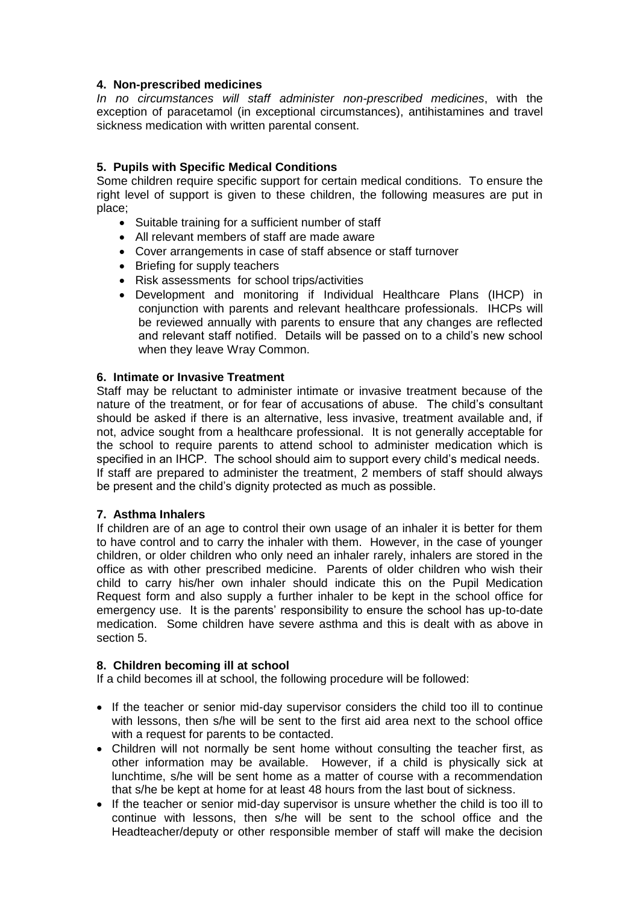#### **4. Non-prescribed medicines**

*In no circumstances will staff administer non-prescribed medicines*, with the exception of paracetamol (in exceptional circumstances), antihistamines and travel sickness medication with written parental consent.

## **5. Pupils with Specific Medical Conditions**

Some children require specific support for certain medical conditions. To ensure the right level of support is given to these children, the following measures are put in place;

- Suitable training for a sufficient number of staff
- All relevant members of staff are made aware
- Cover arrangements in case of staff absence or staff turnover
- Briefing for supply teachers
- Risk assessments for school trips/activities
- Development and monitoring if Individual Healthcare Plans (IHCP) in conjunction with parents and relevant healthcare professionals. IHCPs will be reviewed annually with parents to ensure that any changes are reflected and relevant staff notified. Details will be passed on to a child's new school when they leave Wray Common.

#### **6. Intimate or Invasive Treatment**

Staff may be reluctant to administer intimate or invasive treatment because of the nature of the treatment, or for fear of accusations of abuse. The child's consultant should be asked if there is an alternative, less invasive, treatment available and, if not, advice sought from a healthcare professional. It is not generally acceptable for the school to require parents to attend school to administer medication which is specified in an IHCP. The school should aim to support every child's medical needs. If staff are prepared to administer the treatment, 2 members of staff should always be present and the child's dignity protected as much as possible.

### **7. Asthma Inhalers**

If children are of an age to control their own usage of an inhaler it is better for them to have control and to carry the inhaler with them. However, in the case of younger children, or older children who only need an inhaler rarely, inhalers are stored in the office as with other prescribed medicine. Parents of older children who wish their child to carry his/her own inhaler should indicate this on the Pupil Medication Request form and also supply a further inhaler to be kept in the school office for emergency use. It is the parents' responsibility to ensure the school has up-to-date medication. Some children have severe asthma and this is dealt with as above in section 5.

### **8. Children becoming ill at school**

If a child becomes ill at school, the following procedure will be followed:

- If the teacher or senior mid-day supervisor considers the child too ill to continue with lessons, then s/he will be sent to the first aid area next to the school office with a request for parents to be contacted.
- Children will not normally be sent home without consulting the teacher first, as other information may be available. However, if a child is physically sick at lunchtime, s/he will be sent home as a matter of course with a recommendation that s/he be kept at home for at least 48 hours from the last bout of sickness.
- If the teacher or senior mid-day supervisor is unsure whether the child is too ill to continue with lessons, then s/he will be sent to the school office and the Headteacher/deputy or other responsible member of staff will make the decision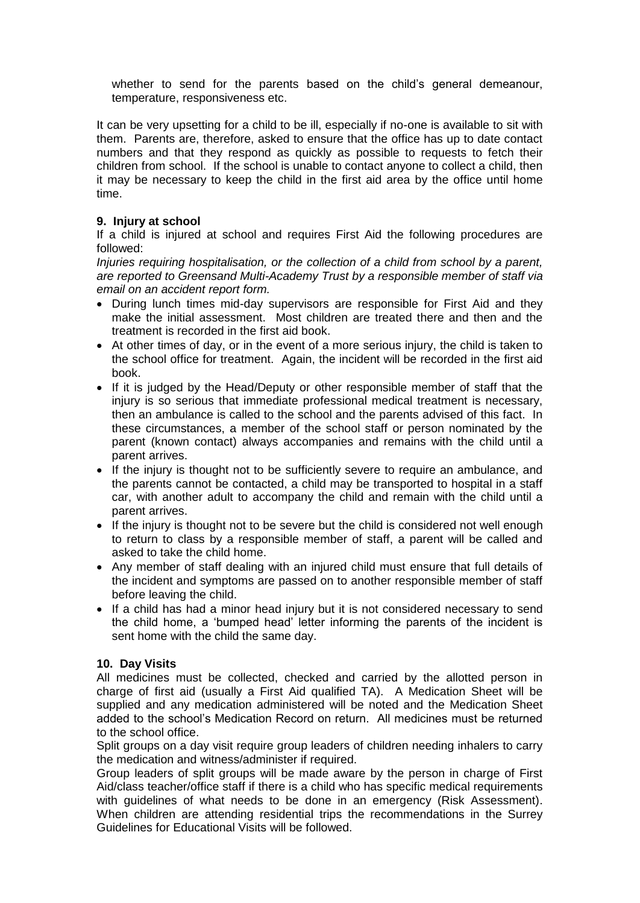whether to send for the parents based on the child's general demeanour, temperature, responsiveness etc.

It can be very upsetting for a child to be ill, especially if no-one is available to sit with them. Parents are, therefore, asked to ensure that the office has up to date contact numbers and that they respond as quickly as possible to requests to fetch their children from school. If the school is unable to contact anyone to collect a child, then it may be necessary to keep the child in the first aid area by the office until home time.

## **9. Injury at school**

If a child is injured at school and requires First Aid the following procedures are followed:

*Injuries requiring hospitalisation, or the collection of a child from school by a parent, are reported to Greensand Multi-Academy Trust by a responsible member of staff via email on an accident report form.*

- During lunch times mid-day supervisors are responsible for First Aid and they make the initial assessment. Most children are treated there and then and the treatment is recorded in the first aid book.
- At other times of day, or in the event of a more serious injury, the child is taken to the school office for treatment. Again, the incident will be recorded in the first aid book.
- If it is judged by the Head/Deputy or other responsible member of staff that the injury is so serious that immediate professional medical treatment is necessary, then an ambulance is called to the school and the parents advised of this fact. In these circumstances, a member of the school staff or person nominated by the parent (known contact) always accompanies and remains with the child until a parent arrives.
- If the injury is thought not to be sufficiently severe to require an ambulance, and the parents cannot be contacted, a child may be transported to hospital in a staff car, with another adult to accompany the child and remain with the child until a parent arrives.
- If the injury is thought not to be severe but the child is considered not well enough to return to class by a responsible member of staff, a parent will be called and asked to take the child home.
- Any member of staff dealing with an injured child must ensure that full details of the incident and symptoms are passed on to another responsible member of staff before leaving the child.
- If a child has had a minor head injury but it is not considered necessary to send the child home, a 'bumped head' letter informing the parents of the incident is sent home with the child the same day.

### **10. Day Visits**

All medicines must be collected, checked and carried by the allotted person in charge of first aid (usually a First Aid qualified TA). A Medication Sheet will be supplied and any medication administered will be noted and the Medication Sheet added to the school's Medication Record on return. All medicines must be returned to the school office.

Split groups on a day visit require group leaders of children needing inhalers to carry the medication and witness/administer if required.

Group leaders of split groups will be made aware by the person in charge of First Aid/class teacher/office staff if there is a child who has specific medical requirements with guidelines of what needs to be done in an emergency (Risk Assessment). When children are attending residential trips the recommendations in the Surrey Guidelines for Educational Visits will be followed.